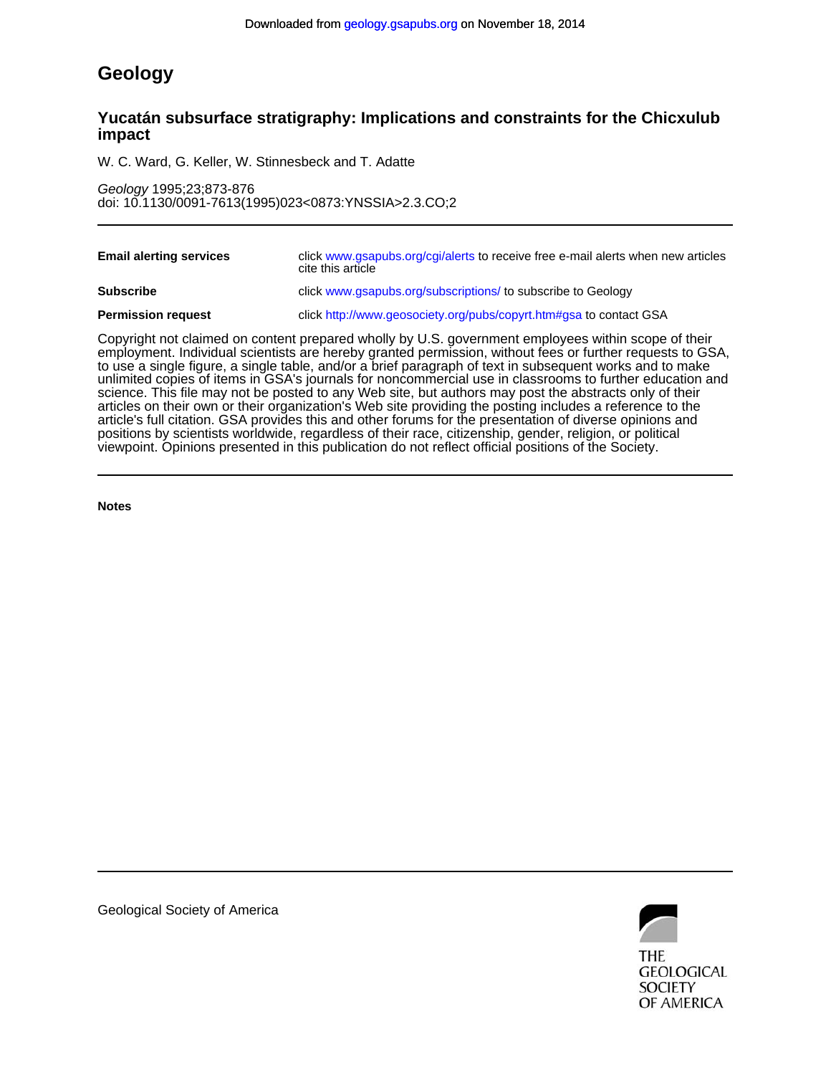# **Geology**

# **impact Yucatán subsurface stratigraphy: Implications and constraints for the Chicxulub**

W. C. Ward, G. Keller, W. Stinnesbeck and T. Adatte

doi: 10.1130/0091-7613(1995)023<0873:YNSSIA>2.3.CO;2 Geology 1995;23;873-876

| <b>Email alerting services</b> | click www.gsapubs.org/cgi/alerts to receive free e-mail alerts when new articles<br>cite this article |
|--------------------------------|-------------------------------------------------------------------------------------------------------|
| <b>Subscribe</b>               | click www.gsapubs.org/subscriptions/ to subscribe to Geology                                          |
| <b>Permission request</b>      | click http://www.geosociety.org/pubs/copyrt.htm#gsa to contact GSA                                    |
|                                |                                                                                                       |

viewpoint. Opinions presented in this publication do not reflect official positions of the Society. positions by scientists worldwide, regardless of their race, citizenship, gender, religion, or political article's full citation. GSA provides this and other forums for the presentation of diverse opinions and articles on their own or their organization's Web site providing the posting includes a reference to the science. This file may not be posted to any Web site, but authors may post the abstracts only of their unlimited copies of items in GSA's journals for noncommercial use in classrooms to further education and to use a single figure, a single table, and/or a brief paragraph of text in subsequent works and to make employment. Individual scientists are hereby granted permission, without fees or further requests to GSA, Copyright not claimed on content prepared wholly by U.S. government employees within scope of their

**Notes**



Geological Society of America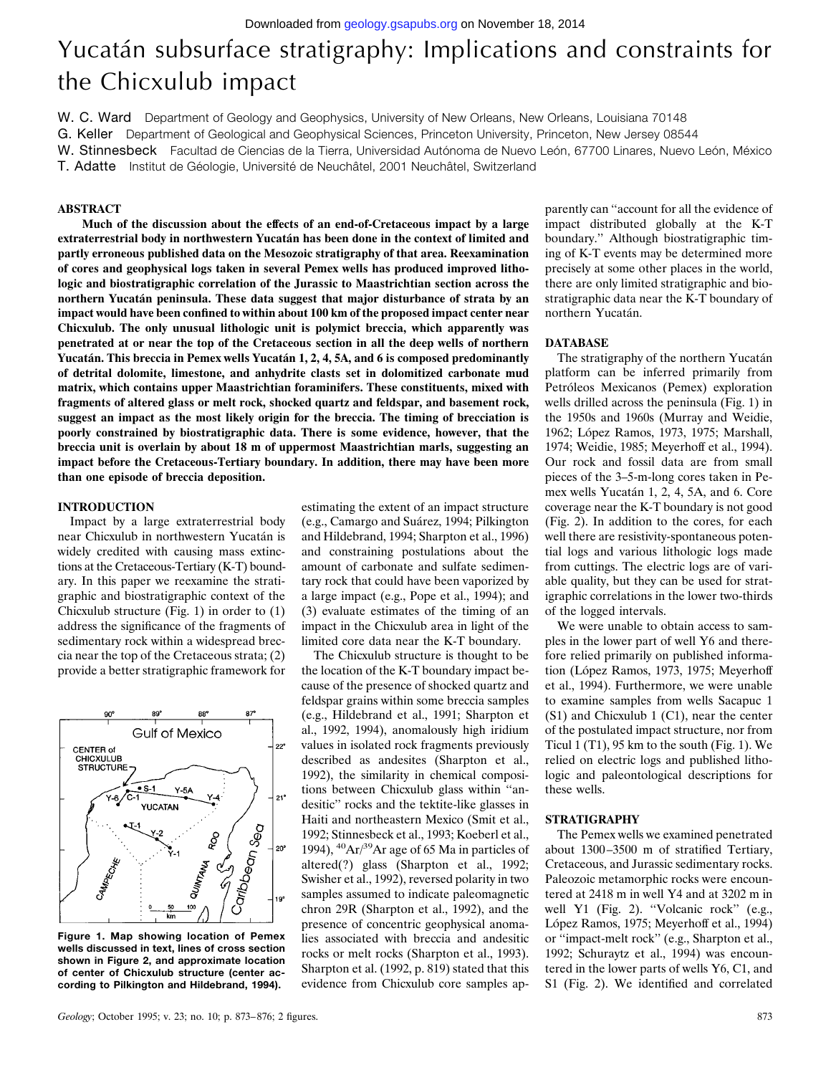# Yucatán subsurface stratigraphy: Implications and constraints for the Chicxulub impact

W. C. Ward Department of Geology and Geophysics, University of New Orleans, New Orleans, Louisiana 70148

G. Keller Department of Geological and Geophysical Sciences, Princeton University, Princeton, New Jersey 08544

W. Stinnesbeck Facultad de Ciencias de la Tierra, Universidad Autónoma de Nuevo León, 67700 Linares, Nuevo León, México

T. Adatte Institut de Géologie, Université de Neuchâtel, 2001 Neuchâtel, Switzerland

# **ABSTRACT**

**Much of the discussion about the effects of an end-of-Cretaceous impact by a large extraterrestrial body in northwestern Yucata´n has been done in the context of limited and partly erroneous published data on the Mesozoic stratigraphy of that area. Reexamination of cores and geophysical logs taken in several Pemex wells has produced improved lithologic and biostratigraphic correlation of the Jurassic to Maastrichtian section across the northern Yucata´n peninsula. These data suggest that major disturbance of strata by an impact would have been confined to within about 100 km of the proposed impact center near Chicxulub. The only unusual lithologic unit is polymict breccia, which apparently was penetrated at or near the top of the Cretaceous section in all the deep wells of northern** Yucatán. This breccia in Pemex wells Yucatán 1, 2, 4, 5A, and 6 is composed predominantly **of detrital dolomite, limestone, and anhydrite clasts set in dolomitized carbonate mud matrix, which contains upper Maastrichtian foraminifers. These constituents, mixed with fragments of altered glass or melt rock, shocked quartz and feldspar, and basement rock, suggest an impact as the most likely origin for the breccia. The timing of brecciation is poorly constrained by biostratigraphic data. There is some evidence, however, that the breccia unit is overlain by about 18 m of uppermost Maastrichtian marls, suggesting an impact before the Cretaceous-Tertiary boundary. In addition, there may have been more than one episode of breccia deposition.**

### **INTRODUCTION**

Impact by a large extraterrestrial body near Chicxulub in northwestern Yucatán is widely credited with causing mass extinctions at the Cretaceous-Tertiary (K-T) boundary. In this paper we reexamine the stratigraphic and biostratigraphic context of the Chicxulub structure (Fig. 1) in order to (1) address the significance of the fragments of sedimentary rock within a widespread breccia near the top of the Cretaceous strata; (2) provide a better stratigraphic framework for



**Figure 1. Map showing location of Pemex wells discussed in text, lines of cross section shown in Figure 2, and approximate location of center of Chicxulub structure (center according to Pilkington and Hildebrand, 1994).**

estimating the extent of an impact structure (e.g., Camargo and Suárez, 1994; Pilkington and Hildebrand, 1994; Sharpton et al., 1996) and constraining postulations about the amount of carbonate and sulfate sedimentary rock that could have been vaporized by a large impact (e.g., Pope et al., 1994); and (3) evaluate estimates of the timing of an impact in the Chicxulub area in light of the limited core data near the K-T boundary.

The Chicxulub structure is thought to be the location of the K-T boundary impact because of the presence of shocked quartz and feldspar grains within some breccia samples (e.g., Hildebrand et al., 1991; Sharpton et al., 1992, 1994), anomalously high iridium values in isolated rock fragments previously described as andesites (Sharpton et al., 1992), the similarity in chemical compositions between Chicxulub glass within ''andesitic'' rocks and the tektite-like glasses in Haiti and northeastern Mexico (Smit et al., 1992; Stinnesbeck et al., 1993; Koeberl et al., 1994),  $^{40}Ar/^{39}Ar$  age of 65 Ma in particles of altered(?) glass (Sharpton et al., 1992; Swisher et al., 1992), reversed polarity in two samples assumed to indicate paleomagnetic chron 29R (Sharpton et al., 1992), and the presence of concentric geophysical anomalies associated with breccia and andesitic rocks or melt rocks (Sharpton et al., 1993). Sharpton et al. (1992, p. 819) stated that this evidence from Chicxulub core samples ap-

parently can ''account for all the evidence of impact distributed globally at the K-T boundary.'' Although biostratigraphic timing of K-T events may be determined more precisely at some other places in the world, there are only limited stratigraphic and biostratigraphic data near the K-T boundary of northern Yucatán.

#### **DATABASE**

The stratigraphy of the northern Yucatán platform can be inferred primarily from Petróleos Mexicanos (Pemex) exploration wells drilled across the peninsula (Fig. 1) in the 1950s and 1960s (Murray and Weidie, 1962; López Ramos, 1973, 1975; Marshall, 1974; Weidie, 1985; Meyerhoff et al., 1994). Our rock and fossil data are from small pieces of the 3–5-m-long cores taken in Pemex wells Yucatán 1, 2, 4, 5A, and 6. Core coverage near the K-T boundary is not good (Fig. 2). In addition to the cores, for each well there are resistivity-spontaneous potential logs and various lithologic logs made from cuttings. The electric logs are of variable quality, but they can be used for stratigraphic correlations in the lower two-thirds of the logged intervals.

We were unable to obtain access to samples in the lower part of well Y6 and therefore relied primarily on published information (López Ramos, 1973, 1975; Meyerhoff et al., 1994). Furthermore, we were unable to examine samples from wells Sacapuc 1 (S1) and Chicxulub 1 (C1), near the center of the postulated impact structure, nor from Ticul 1 (T1),  $95 \text{ km}$  to the south (Fig. 1). We relied on electric logs and published lithologic and paleontological descriptions for these wells.

# **STRATIGRAPHY**

The Pemex wells we examined penetrated about 1300 –3500 m of stratified Tertiary, Cretaceous, and Jurassic sedimentary rocks. Paleozoic metamorphic rocks were encountered at 2418 m in well Y4 and at 3202 m in well Y1 (Fig. 2). "Volcanic rock" (e.g., López Ramos, 1975; Meyerhoff et al., 1994) or ''impact-melt rock'' (e.g., Sharpton et al., 1992; Schuraytz et al., 1994) was encountered in the lower parts of wells Y6, C1, and S1 (Fig. 2). We identified and correlated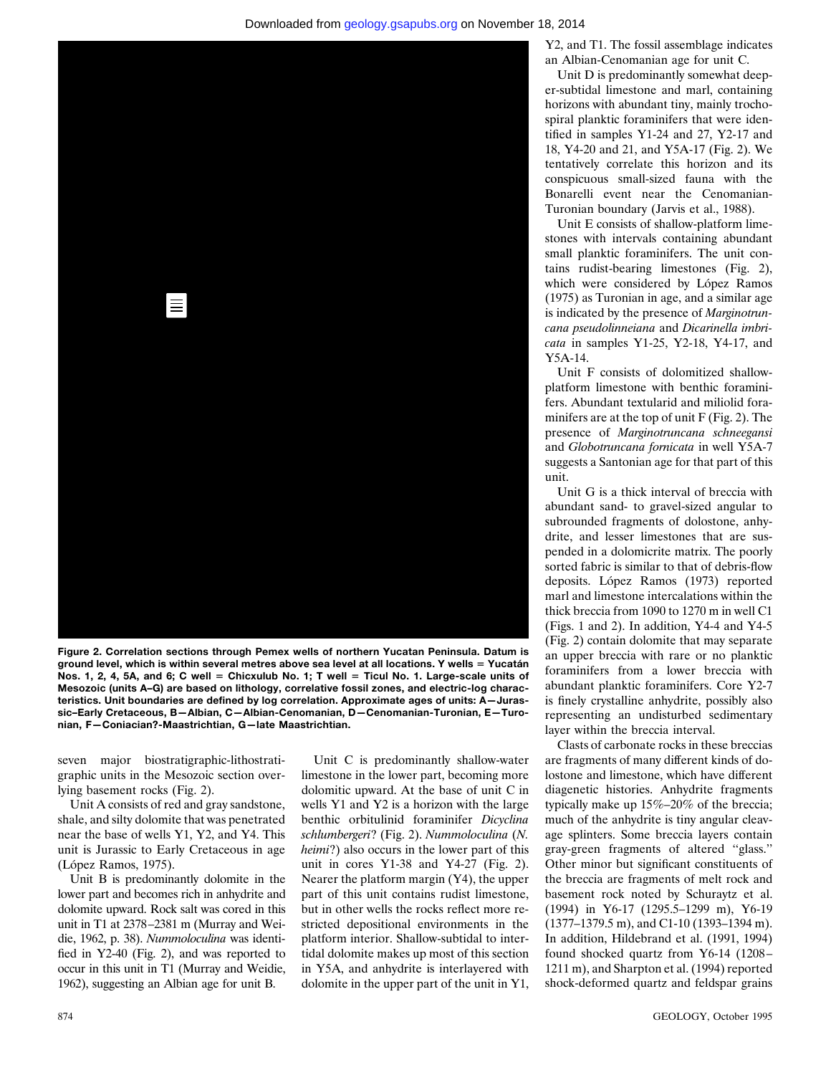

**Figure 2. Correlation sections through Pemex wells of northern Yucatan Peninsula. Datum is** ground level, which is within several metres above sea level at all locations. Y wells = Yucatán **Nos. 1, 2, 4, 5A, and 6; C well = Chicxulub No. 1; T well = Ticul No. 1. Large-scale units of [Mesozoic \(units A–G\) are based on lithology, correlative fossil zones, and electric-log charac](#page-5-0)teristics. Unit boundaries are defined by log correlation. Approximate ages of units: A—Jurassic–Early Cretaceous, B—Albian, C—Albian-Cenomanian, D—Cenomanian-Turonian, E—Turonian, F—Coniacian?-Maastrichtian, G—late Maastrichtian.**

seven major biostratigraphic-lithostratigraphic units in the Mesozoic section overlying basement rocks (Fig. 2).

Unit A consists of red and gray sandstone, shale, and silty dolomite that was penetrated near the base of wells Y1, Y2, and Y4. This unit is Jurassic to Early Cretaceous in age (López Ramos, 1975).

Unit B is predominantly dolomite in the lower part and becomes rich in anhydrite and dolomite upward. Rock salt was cored in this unit in T1 at 2378 –2381 m (Murray and Weidie, 1962, p. 38). *Nummoloculina* was identified in Y2-40 (Fig. 2), and was reported to occur in this unit in T1 (Murray and Weidie, 1962), suggesting an Albian age for unit B.

Unit C is predominantly shallow-water limestone in the lower part, becoming more dolomitic upward. At the base of unit C in wells Y1 and Y2 is a horizon with the large benthic orbitulinid foraminifer *Dicyclina schlumbergeri*? (Fig. 2). *Nummoloculina* (*N. heimi*?) also occurs in the lower part of this unit in cores Y1-38 and Y4-27 (Fig. 2). Nearer the platform margin (Y4), the upper part of this unit contains rudist limestone, but in other wells the rocks reflect more restricted depositional environments in the platform interior. Shallow-subtidal to intertidal dolomite makes up most of this section in Y5A, and anhydrite is interlayered with dolomite in the upper part of the unit in Y1, Y2, and T1. The fossil assemblage indicates an Albian-Cenomanian age for unit C.

Unit D is predominantly somewhat deeper-subtidal limestone and marl, containing horizons with abundant tiny, mainly trochospiral planktic foraminifers that were identified in samples Y1-24 and 27, Y2-17 and 18, Y4-20 and 21, and Y5A-17 (Fig. 2). We tentatively correlate this horizon and its conspicuous small-sized fauna with the Bonarelli event near the Cenomanian-Turonian boundary (Jarvis et al., 1988).

Unit E consists of shallow-platform limestones with intervals containing abundant small planktic foraminifers. The unit contains rudist-bearing limestones (Fig. 2), which were considered by López Ramos (1975) as Turonian in age, and a similar age is indicated by the presence of *Marginotruncana pseudolinneiana* and *Dicarinella imbricata* in samples Y1-25, Y2-18, Y4-17, and Y5A-14.

Unit F consists of dolomitized shallowplatform limestone with benthic foraminifers. Abundant textularid and miliolid foraminifers are at the top of unit F (Fig. 2). The presence of *Marginotruncana schneegansi* and *Globotruncana fornicata* in well Y5A-7 suggests a Santonian age for that part of this unit.

Unit G is a thick interval of breccia with abundant sand- to gravel-sized angular to subrounded fragments of dolostone, anhydrite, and lesser limestones that are suspended in a dolomicrite matrix. The poorly sorted fabric is similar to that of debris-flow deposits. López Ramos (1973) reported marl and limestone intercalations within the thick breccia from 1090 to 1270 m in well C1 (Figs. 1 and 2). In addition, Y4-4 and Y4-5 (Fig. 2) contain dolomite that may separate an upper breccia with rare or no planktic foraminifers from a lower breccia with abundant planktic foraminifers. Core Y2-7 is finely crystalline anhydrite, possibly also representing an undisturbed sedimentary layer within the breccia interval.

Clasts of carbonate rocks in these breccias are fragments of many different kinds of dolostone and limestone, which have different diagenetic histories. Anhydrite fragments typically make up 15%–20% of the breccia; much of the anhydrite is tiny angular cleavage splinters. Some breccia layers contain gray-green fragments of altered ''glass.'' Other minor but significant constituents of the breccia are fragments of melt rock and basement rock noted by Schuraytz et al. (1994) in Y6-17 (1295.5–1299 m), Y6-19 (1377–1379.5 m), and C1-10 (1393–1394 m). In addition, Hildebrand et al. (1991, 1994) found shocked quartz from Y6-14 (1208 – 1211 m), and Sharpton et al. (1994) reported shock-deformed quartz and feldspar grains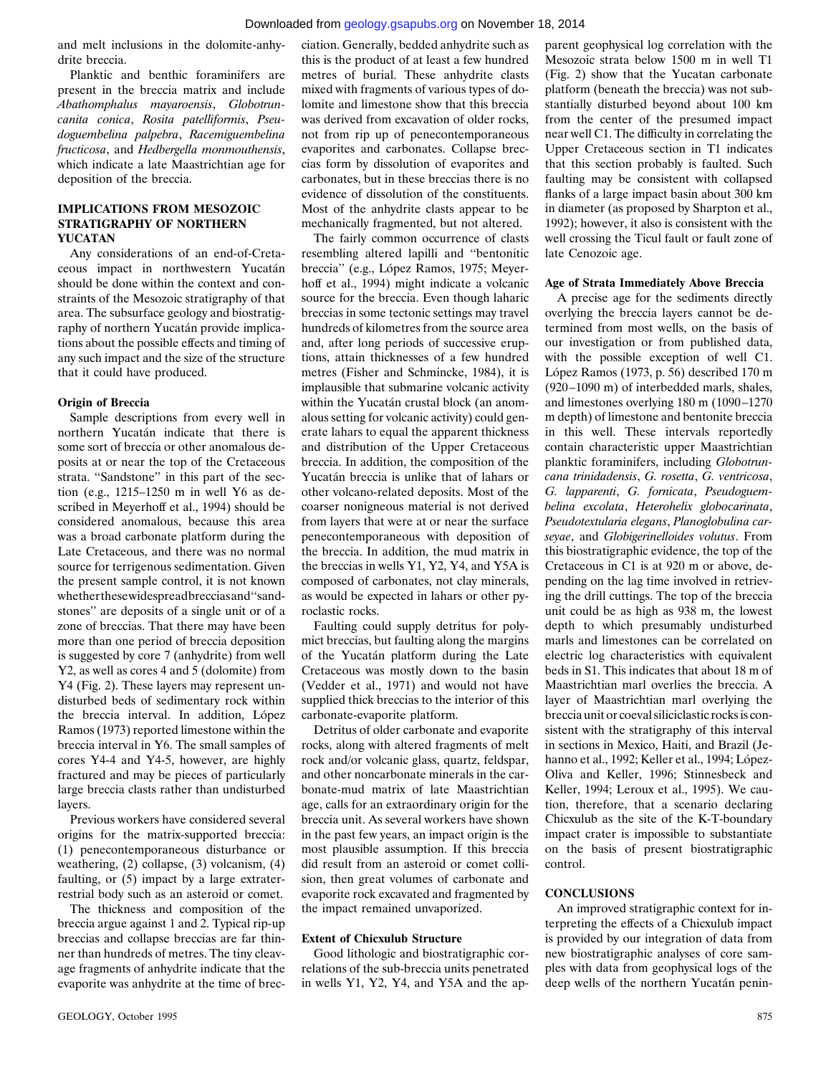## Downloaded from [geology.gsapubs.org](http://geology.gsapubs.org/) on November 18, 2014

and melt inclusions in the dolomite-anhydrite breccia.

Planktic and benthic foraminifers are present in the breccia matrix and include *Abathomphalus mayaroensis*, *Globotruncanita conica*, *Rosita patelliformis*, *Pseudoguembelina palpebra*, *Racemiguembelina fructicosa*, and *Hedbergella monmouthensis*, which indicate a late Maastrichtian age for deposition of the breccia.

# **IMPLICATIONS FROM MESOZOIC STRATIGRAPHY OF NORTHERN YUCATAN**

Any considerations of an end-of-Cretaceous impact in northwestern Yucatán should be done within the context and constraints of the Mesozoic stratigraphy of that area. The subsurface geology and biostratigraphy of northern Yucatán provide implications about the possible effects and timing of any such impact and the size of the structure that it could have produced.

#### **Origin of Breccia**

Sample descriptions from every well in northern Yucatán indicate that there is some sort of breccia or other anomalous deposits at or near the top of the Cretaceous strata. ''Sandstone'' in this part of the section (e.g., 1215–1250 m in well Y6 as described in Meyerhoff et al., 1994) should be considered anomalous, because this area was a broad carbonate platform during the Late Cretaceous, and there was no normal source for terrigenous sedimentation. Given the present sample control, it is not known whetherthesewidespreadbrecciasand''sandstones'' are deposits of a single unit or of a zone of breccias. That there may have been more than one period of breccia deposition is suggested by core 7 (anhydrite) from well Y2, as well as cores 4 and 5 (dolomite) from Y4 (Fig. 2). These layers may represent undisturbed beds of sedimentary rock within the breccia interval. In addition, López Ramos (1973) reported limestone within the breccia interval in Y6. The small samples of cores Y4-4 and Y4-5, however, are highly fractured and may be pieces of particularly large breccia clasts rather than undisturbed layers.

Previous workers have considered several origins for the matrix-supported breccia: (1) penecontemporaneous disturbance or weathering, (2) collapse, (3) volcanism, (4) faulting, or (5) impact by a large extraterrestrial body such as an asteroid or comet.

The thickness and composition of the breccia argue against 1 and 2. Typical rip-up breccias and collapse breccias are far thinner than hundreds of metres. The tiny cleavage fragments of anhydrite indicate that the evaporite was anhydrite at the time of brec-

ciation. Generally, bedded anhydrite such as this is the product of at least a few hundred metres of burial. These anhydrite clasts mixed with fragments of various types of dolomite and limestone show that this breccia was derived from excavation of older rocks. not from rip up of penecontemporaneous evaporites and carbonates. Collapse breccias form by dissolution of evaporites and carbonates, but in these breccias there is no evidence of dissolution of the constituents. Most of the anhydrite clasts appear to be mechanically fragmented, but not altered.

The fairly common occurrence of clasts resembling altered lapilli and ''bentonitic breccia" (e.g., López Ramos, 1975; Meyerhoff et al., 1994) might indicate a volcanic source for the breccia. Even though laharic breccias in some tectonic settings may travel hundreds of kilometres from the source area and, after long periods of successive eruptions, attain thicknesses of a few hundred metres (Fisher and Schmincke, 1984), it is implausible that submarine volcanic activity within the Yucatán crustal block (an anomalous setting for volcanic activity) could generate lahars to equal the apparent thickness and distribution of the Upper Cretaceous breccia. In addition, the composition of the Yucatán breccia is unlike that of lahars or other volcano-related deposits. Most of the coarser nonigneous material is not derived from layers that were at or near the surface penecontemporaneous with deposition of the breccia. In addition, the mud matrix in the breccias in wells Y1, Y2, Y4, and Y5A is composed of carbonates, not clay minerals, as would be expected in lahars or other pyroclastic rocks.

Faulting could supply detritus for polymict breccias, but faulting along the margins of the Yucatán platform during the Late Cretaceous was mostly down to the basin (Vedder et al., 1971) and would not have supplied thick breccias to the interior of this carbonate-evaporite platform.

Detritus of older carbonate and evaporite rocks, along with altered fragments of melt rock and/or volcanic glass, quartz, feldspar, and other noncarbonate minerals in the carbonate-mud matrix of late Maastrichtian age, calls for an extraordinary origin for the breccia unit. As several workers have shown in the past few years, an impact origin is the most plausible assumption. If this breccia did result from an asteroid or comet collision, then great volumes of carbonate and evaporite rock excavated and fragmented by the impact remained unvaporized.

# **Extent of Chicxulub Structure**

Good lithologic and biostratigraphic correlations of the sub-breccia units penetrated in wells Y1, Y2, Y4, and Y5A and the ap-

parent geophysical log correlation with the Mesozoic strata below 1500 m in well T1 (Fig. 2) show that the Yucatan carbonate platform (beneath the breccia) was not substantially disturbed beyond about 100 km from the center of the presumed impact near well C1. The difficulty in correlating the Upper Cretaceous section in T1 indicates that this section probably is faulted. Such faulting may be consistent with collapsed flanks of a large impact basin about 300 km in diameter (as proposed by Sharpton et al., 1992); however, it also is consistent with the well crossing the Ticul fault or fault zone of late Cenozoic age.

## **Age of Strata Immediately Above Breccia**

A precise age for the sediments directly overlying the breccia layers cannot be determined from most wells, on the basis of our investigation or from published data, with the possible exception of well C1. López Ramos (1973, p. 56) described  $170 \text{ m}$ (920 –1090 m) of interbedded marls, shales, and limestones overlying 180 m (1090-1270 m depth) of limestone and bentonite breccia in this well. These intervals reportedly contain characteristic upper Maastrichtian planktic foraminifers, including *Globotruncana trinidadensis*, *G. rosetta*, *G. ventricosa*, *G. lapparenti*, *G. fornicata*, *Pseudoguembelina excolata*, *Heterohelix globocarinata*, *Pseudotextularia elegans*, *Planoglobulina carseyae*, and *Globigerinelloides volutus*. From this biostratigraphic evidence, the top of the Cretaceous in C1 is at 920 m or above, depending on the lag time involved in retrieving the drill cuttings. The top of the breccia unit could be as high as 938 m, the lowest depth to which presumably undisturbed marls and limestones can be correlated on electric log characteristics with equivalent beds in S1. This indicates that about 18 m of Maastrichtian marl overlies the breccia. A layer of Maastrichtian marl overlying the breccia unit or coeval siliciclastic rocks is consistent with the stratigraphy of this interval in sections in Mexico, Haiti, and Brazil (Jehanno et al., 1992; Keller et al., 1994; López-Oliva and Keller, 1996; Stinnesbeck and Keller, 1994; Leroux et al., 1995). We caution, therefore, that a scenario declaring Chicxulub as the site of the K-T-boundary impact crater is impossible to substantiate on the basis of present biostratigraphic control.

# **CONCLUSIONS**

An improved stratigraphic context for interpreting the effects of a Chicxulub impact is provided by our integration of data from new biostratigraphic analyses of core samples with data from geophysical logs of the deep wells of the northern Yucatán penin-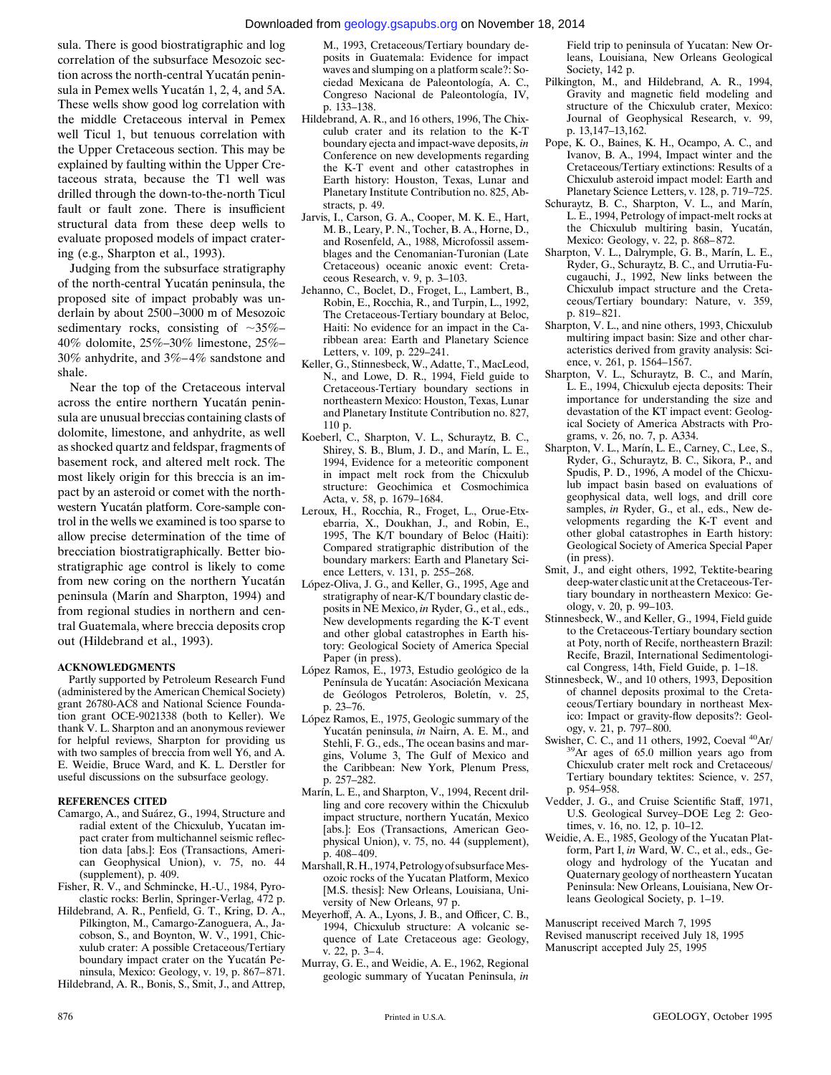#### Downloaded from [geology.gsapubs.org](http://geology.gsapubs.org/) on November 18, 2014

sula. There is good biostratigraphic and log correlation of the subsurface Mesozoic section across the north-central Yucatán peninsula in Pemex wells Yucatán 1, 2, 4, and 5A. These wells show good log correlation with the middle Cretaceous interval in Pemex well Ticul 1, but tenuous correlation with the Upper Cretaceous section. This may be explained by faulting within the Upper Cretaceous strata, because the T1 well was drilled through the down-to-the-north Ticul fault or fault zone. There is insufficient structural data from these deep wells to evaluate proposed models of impact cratering (e.g., Sharpton et al., 1993).

Judging from the subsurface stratigraphy of the north-central Yucatán peninsula, the proposed site of impact probably was underlain by about 2500 –3000 m of Mesozoic sedimentary rocks, consisting of  $\sim 35\%$ – 40% dolomite, 25%–30% limestone, 25%– 30% anhydrite, and 3%– 4% sandstone and shale.

Near the top of the Cretaceous interval across the entire northern Yucatán peninsula are unusual breccias containing clasts of dolomite, limestone, and anhydrite, as well as shocked quartz and feldspar, fragments of basement rock, and altered melt rock. The most likely origin for this breccia is an impact by an asteroid or comet with the northwestern Yucatán platform. Core-sample control in the wells we examined is too sparse to allow precise determination of the time of brecciation biostratigraphically. Better biostratigraphic age control is likely to come from new coring on the northern Yucatán peninsula (Marín and Sharpton, 1994) and from regional studies in northern and central Guatemala, where breccia deposits crop out (Hildebrand et al., 1993).

#### **ACKNOWLEDGMENTS**

Partly supported by Petroleum Research Fund (administered by the American Chemical Society) grant 26780-AC8 and National Science Foundation grant OCE-9021338 (both to Keller). We thank V. L. Sharpton and an anonymous reviewer for helpful reviews, Sharpton for providing us with two samples of breccia from well Y6, and A. E. Weidie, Bruce Ward, and K. L. Derstler for useful discussions on the subsurface geology.

#### **REFERENCES CITED**

- Camargo, A., and Suárez, G., 1994, Structure and radial extent of the Chicxulub, Yucatan impact crater from multichannel seismic reflection data [abs.]: Eos (Transactions, American Geophysical Union), v. 75, no. 44 (supplement), p. 409.
- Fisher, R. V., and Schmincke, H.-U., 1984, Pyroclastic rocks: Berlin, Springer-Verlag, 472 p.
- Hildebrand, A. R., Penfield, G. T., Kring, D. A., Pilkington, M., Camargo-Zanoguera, A., Jacobson, S., and Boynton, W. V., 1991, Chicxulub crater: A possible Cretaceous/Tertiary boundary impact crater on the Yucatán Peninsula, Mexico: Geology, v. 19, p. 867– 871.

Hildebrand, A. R., Bonis, S., Smit, J., and Attrep,

M., 1993, Cretaceous/Tertiary boundary deposits in Guatemala: Evidence for impact waves and slumping on a platform scale?: Sociedad Mexicana de Paleontología, A. C., Congreso Nacional de Paleontología, IV, p. 133–138.

- Hildebrand, A. R., and 16 others, 1996, The Chixculub crater and its relation to the K-T boundary ejecta and impact-wave deposits, *in* Conference on new developments regarding the K-T event and other catastrophes in Earth history: Houston, Texas, Lunar and Planetary Institute Contribution no. 825, Abstracts, p. 49.
- Jarvis, I., Carson, G. A., Cooper, M. K. E., Hart, M. B., Leary, P. N., Tocher, B. A., Horne, D., and Rosenfeld, A., 1988, Microfossil assemblages and the Cenomanian-Turonian (Late Cretaceous) oceanic anoxic event: Cretaceous Research, v. 9, p. 3–103.
- Jehanno, C., Boclet, D., Froget, L., Lambert, B., Robin, E., Rocchia, R., and Turpin, L., 1992, The Cretaceous-Tertiary boundary at Beloc, Haiti: No evidence for an impact in the Caribbean area: Earth and Planetary Science Letters, v. 109, p. 229–241.
- Keller, G., Stinnesbeck, W., Adatte, T., MacLeod, N., and Lowe, D. R., 1994, Field guide to Cretaceous-Tertiary boundary sections in northeastern Mexico: Houston, Texas, Lunar and Planetary Institute Contribution no. 827, 110 p.
- Koeberl, C., Sharpton, V. L., Schuraytz, B. C., Shirey, S. B., Blum, J. D., and Marín, L. E., 1994, Evidence for a meteoritic component in impact melt rock from the Chicxulub structure: Geochimica et Cosmochimica Acta, v. 58, p. 1679–1684.
- Leroux, H., Rocchia, R., Froget, L., Orue-Etxebarria, X., Doukhan, J., and Robin, E., 1995, The K/T boundary of Beloc (Haiti): Compared stratigraphic distribution of the boundary markers: Earth and Planetary Science Letters, v. 131, p. 255–268.
- López-Oliva, J. G., and Keller, G., 1995, Age and stratigraphy of near-K/T boundary clastic deposits in NE Mexico, *in* Ryder, G., et al., eds., New developments regarding the K-T event and other global catastrophes in Earth history: Geological Society of America Special Paper (in press).
- López Ramos, E., 1973, Estudio geológico de la Península de Yucatán: Asociación Mexicana de Geólogos Petroleros, Boletín, v. 25, p. 23–76.
- López Ramos, E., 1975, Geologic summary of the Yucatán peninsula, *in* Nairn, A. E. M., and Stehli, F. G., eds., The ocean basins and margins, Volume 3, The Gulf of Mexico and the Caribbean: New York, Plenum Press, p. 257–282.
- Marín, L. E., and Sharpton, V., 1994, Recent drilling and core recovery within the Chicxulub impact structure, northern Yucatán, Mexico [abs.]: Eos (Transactions, American Geophysical Union), v. 75, no. 44 (supplement), p. 408– 409.
- Marshall, R.H., 1974, Petrology of subsurface Mesozoic rocks of the Yucatan Platform, Mexico [M.S. thesis]: New Orleans, Louisiana, University of New Orleans, 97 p.
- Meyerhoff, A. A., Lyons, J. B., and Officer, C. B., 1994, Chicxulub structure: A volcanic sequence of Late Cretaceous age: Geology, v. 22, p. 3– 4.
- Murray, G. E., and Weidie, A. E., 1962, Regional geologic summary of Yucatan Peninsula, *in*

Field trip to peninsula of Yucatan: New Orleans, Louisiana, New Orleans Geological Society, 142 p.

- Pilkington, M., and Hildebrand, A. R., 1994, Gravity and magnetic field modeling and structure of the Chicxulub crater, Mexico: Journal of Geophysical Research, v. 99, p. 13,147–13,162.
- Pope, K. O., Baines, K. H., Ocampo, A. C., and Ivanov, B. A., 1994, Impact winter and the Cretaceous/Tertiary extinctions: Results of a Chicxulub asteroid impact model: Earth and Planetary Science Letters, v. 128, p. 719–725.
- Schuraytz, B. C., Sharpton, V. L., and Marín, L. E., 1994, Petrology of impact-melt rocks at the Chicxulub multiring basin, Yucatán, Mexico: Geology, v. 22, p. 868– 872.
- Sharpton, V. L., Dalrymple, G. B., Marín, L. E., Ryder, G., Schuraytz, B. C., and Urrutia-Fucugauchi, J., 1992, New links between the Chicxulub impact structure and the Cretaceous/Tertiary boundary: Nature, v. 359, p. 819– 821.
- Sharpton, V. L., and nine others, 1993, Chicxulub multiring impact basin: Size and other characteristics derived from gravity analysis: Science, v. 261, p. 1564–1567.
- Sharpton, V. L., Schuraytz, B. C., and Marín, L. E., 1994, Chicxulub ejecta deposits: Their importance for understanding the size and devastation of the KT impact event: Geological Society of America Abstracts with Programs, v. 26, no. 7, p. A334.
- Sharpton, V. L., Marín, L. E., Carney, C., Lee, S., Ryder, G., Schuraytz, B. C., Sikora, P., and Spudis, P. D., 1996, A model of the Chicxulub impact basin based on evaluations of geophysical data, well logs, and drill core samples, *in* Ryder, G., et al., eds., New developments regarding the K-T event and other global catastrophes in Earth history: Geological Society of America Special Paper (in press).
- Smit, J., and eight others, 1992, Tektite-bearing deep-water clastic unit at the Cretaceous-Tertiary boundary in northeastern Mexico: Geology, v. 20, p. 99–103.
- Stinnesbeck, W., and Keller, G., 1994, Field guide to the Cretaceous-Tertiary boundary section at Poty, north of Recife, northeastern Brazil: Recife, Brazil, International Sedimentological Congress, 14th, Field Guide, p. 1–18.
- Stinnesbeck, W., and 10 others, 1993, Deposition of channel deposits proximal to the Cretaceous/Tertiary boundary in northeast Mexico: Impact or gravity-flow deposits?: Geology, v. 21, p. 797– 800.
- Swisher, C. C., and 11 others, 1992, Coeval  $^{40}Ar/$   $^{39}Ar$  ages of 65.0 million years ago from Chicxulub crater melt rock and Cretaceous/ Tertiary boundary tektites: Science, v. 257, p. 954–958.
- Vedder, J. G., and Cruise Scientific Staff, 1971, U.S. Geological Survey–DOE Leg 2: Geotimes, v. 16, no. 12, p. 10–12.
- Weidie, A. E., 1985, Geology of the Yucatan Platform, Part I, *in* Ward, W. C., et al., eds., Geology and hydrology of the Yucatan and Quaternary geology of northeastern Yucatan Peninsula: New Orleans, Louisiana, New Orleans Geological Society, p. 1–19.

Manuscript received March 7, 1995 Revised manuscript received July 18, 1995 Manuscript accepted July 25, 1995